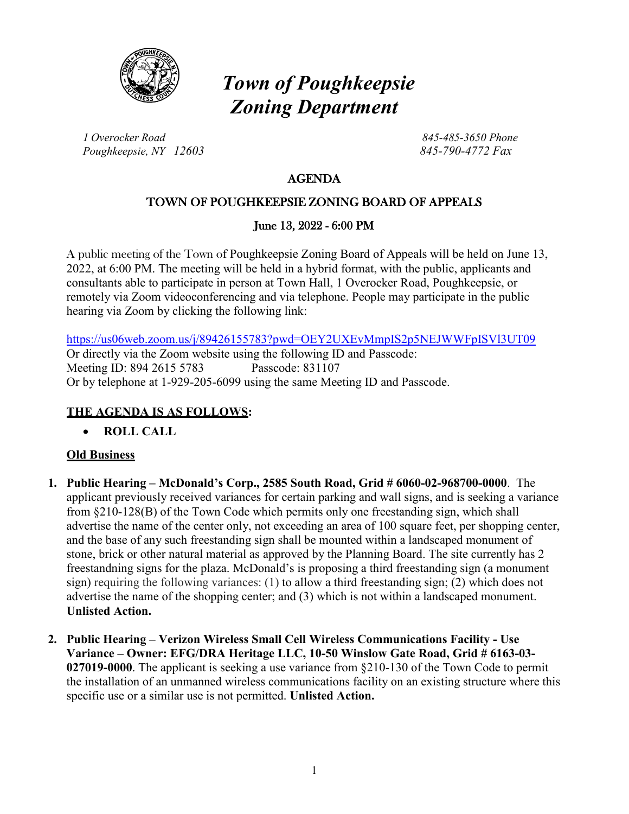

# *Town of Poughkeepsie Zoning Department*

*1 Overocker Road 845-485-3650 Phone Poughkeepsie, NY 12603 845-790-4772 Fax*

# AGENDA

# TOWN OF POUGHKEEPSIE ZONING BOARD OF APPEALS

## June 13, 2022 - 6:00 PM

A public meeting of the Town of Poughkeepsie Zoning Board of Appeals will be held on June 13, 2022, at 6:00 PM. The meeting will be held in a hybrid format, with the public, applicants and consultants able to participate in person at Town Hall, 1 Overocker Road, Poughkeepsie, or remotely via Zoom videoconferencing and via telephone. People may participate in the public hearing via Zoom by clicking the following link:

<https://us06web.zoom.us/j/89426155783?pwd=OEY2UXEvMmpIS2p5NEJWWFpISVl3UT09> Or directly via the Zoom website using the following ID and Passcode: Meeting ID: 894 2615 5783 Passcode: 831107 Or by telephone at 1-929-205-6099 using the same Meeting ID and Passcode.

## **THE AGENDA IS AS FOLLOWS:**

• **ROLL CALL**

#### **Old Business**

- **1. Public Hearing – McDonald's Corp., 2585 South Road, Grid # 6060-02-968700-0000**. The applicant previously received variances for certain parking and wall signs, and is seeking a variance from §210-128(B) of the Town Code which permits only one freestanding sign, which shall advertise the name of the center only, not exceeding an area of 100 square feet, per shopping center, and the base of any such freestanding sign shall be mounted within a landscaped monument of stone, brick or other natural material as approved by the Planning Board. The site currently has 2 freestandning signs for the plaza. McDonald's is proposing a third freestanding sign (a monument sign) requiring the following variances: (1) to allow a third freestanding sign; (2) which does not advertise the name of the shopping center; and (3) which is not within a landscaped monument. **Unlisted Action.**
- **2. Public Hearing – Verizon Wireless Small Cell Wireless Communications Facility - Use Variance – Owner: EFG/DRA Heritage LLC, 10-50 Winslow Gate Road, Grid # 6163-03- 027019-0000**. The applicant is seeking a use variance from §210-130 of the Town Code to permit the installation of an unmanned wireless communications facility on an existing structure where this specific use or a similar use is not permitted. **Unlisted Action.**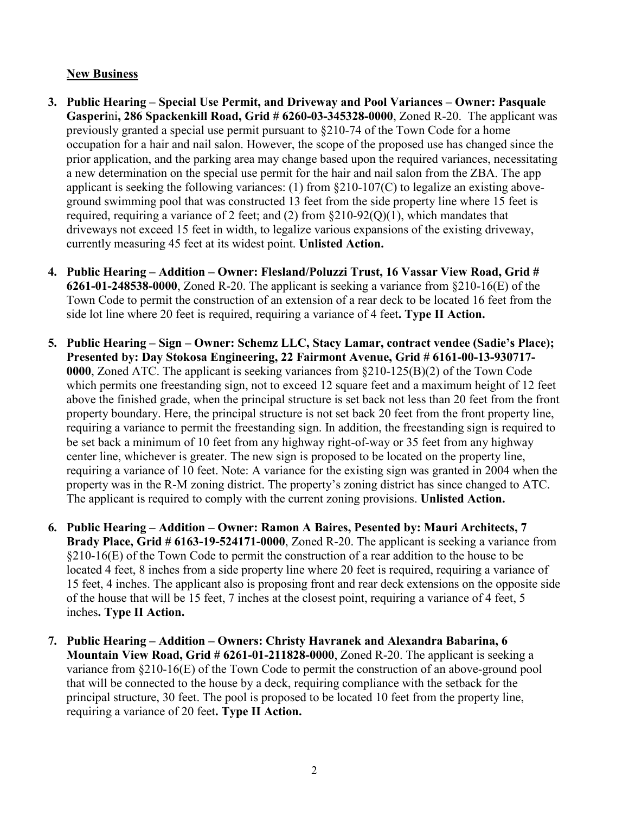#### **New Business**

- **3. Public Hearing – Special Use Permit, and Driveway and Pool Variances – Owner: Pasquale Gasperi**ni**, 286 Spackenkill Road, Grid # 6260-03-345328-0000**, Zoned R-20. The applicant was previously granted a special use permit pursuant to §210-74 of the Town Code for a home occupation for a hair and nail salon. However, the scope of the proposed use has changed since the prior application, and the parking area may change based upon the required variances, necessitating a new determination on the special use permit for the hair and nail salon from the ZBA. The app applicant is seeking the following variances: (1) from §210-107(C) to legalize an existing aboveground swimming pool that was constructed 13 feet from the side property line where 15 feet is required, requiring a variance of 2 feet; and (2) from  $\S210-92(0)(1)$ , which mandates that driveways not exceed 15 feet in width, to legalize various expansions of the existing driveway, currently measuring 45 feet at its widest point. **Unlisted Action.**
- **4. Public Hearing – Addition – Owner: Flesland/Poluzzi Trust, 16 Vassar View Road, Grid # 6261-01-248538-0000**, Zoned R-20. The applicant is seeking a variance from §210-16(E) of the Town Code to permit the construction of an extension of a rear deck to be located 16 feet from the side lot line where 20 feet is required, requiring a variance of 4 feet**. Type II Action.**
- **5. Public Hearing – Sign – Owner: Schemz LLC, Stacy Lamar, contract vendee (Sadie's Place); Presented by: Day Stokosa Engineering, 22 Fairmont Avenue, Grid # 6161-00-13-930717- 0000**, Zoned ATC. The applicant is seeking variances from §210-125(B)(2) of the Town Code which permits one freestanding sign, not to exceed 12 square feet and a maximum height of 12 feet above the finished grade, when the principal structure is set back not less than 20 feet from the front property boundary. Here, the principal structure is not set back 20 feet from the front property line, requiring a variance to permit the freestanding sign. In addition, the freestanding sign is required to be set back a minimum of 10 feet from any highway right-of-way or 35 feet from any highway center line, whichever is greater. The new sign is proposed to be located on the property line, requiring a variance of 10 feet. Note: A variance for the existing sign was granted in 2004 when the property was in the R-M zoning district. The property's zoning district has since changed to ATC. The applicant is required to comply with the current zoning provisions. **Unlisted Action.**
- **6. Public Hearing – Addition – Owner: Ramon A Baires, Pesented by: Mauri Architects, 7 Brady Place, Grid # 6163-19-524171-0000**, Zoned R-20. The applicant is seeking a variance from  $§210-16(E)$  of the Town Code to permit the construction of a rear addition to the house to be located 4 feet, 8 inches from a side property line where 20 feet is required, requiring a variance of 15 feet, 4 inches. The applicant also is proposing front and rear deck extensions on the opposite side of the house that will be 15 feet, 7 inches at the closest point, requiring a variance of 4 feet, 5 inches**. Type II Action.**
- **7. Public Hearing – Addition – Owners: Christy Havranek and Alexandra Babarina, 6 Mountain View Road, Grid # 6261-01-211828-0000**, Zoned R-20. The applicant is seeking a variance from §210-16(E) of the Town Code to permit the construction of an above-ground pool that will be connected to the house by a deck, requiring compliance with the setback for the principal structure, 30 feet. The pool is proposed to be located 10 feet from the property line, requiring a variance of 20 feet**. Type II Action.**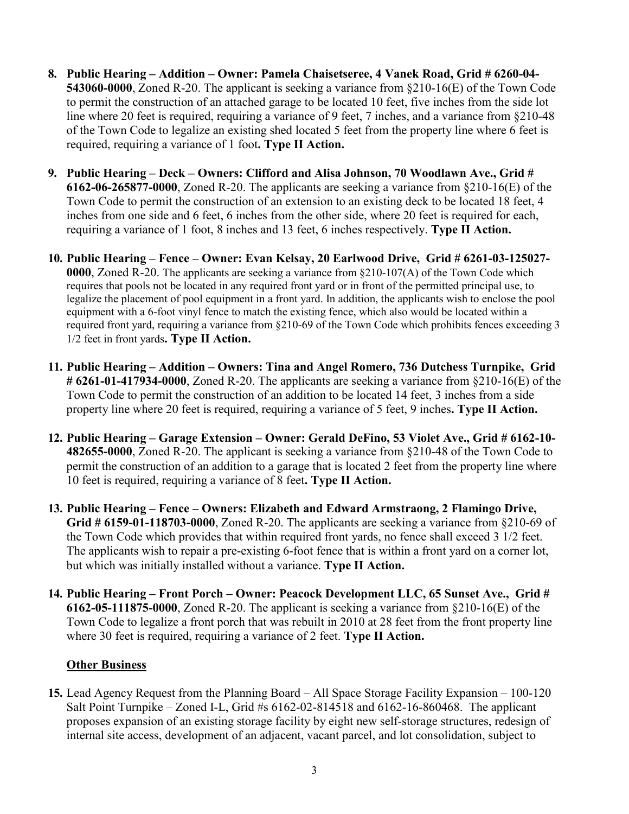- **8. Public Hearing – Addition – Owner: Pamela Chaisetseree, 4 Vanek Road, Grid # 6260-04- 543060-0000**, Zoned R-20. The applicant is seeking a variance from §210-16(E) of the Town Code to permit the construction of an attached garage to be located 10 feet, five inches from the side lot line where 20 feet is required, requiring a variance of 9 feet, 7 inches, and a variance from §210-48 of the Town Code to legalize an existing shed located 5 feet from the property line where 6 feet is required, requiring a variance of 1 foot**. Type II Action.**
- **9. Public Hearing – Deck – Owners: Clifford and Alisa Johnson, 70 Woodlawn Ave., Grid # 6162-06-265877-0000**, Zoned R-20. The applicants are seeking a variance from §210-16(E) of the Town Code to permit the construction of an extension to an existing deck to be located 18 feet, 4 inches from one side and 6 feet, 6 inches from the other side, where 20 feet is required for each, requiring a variance of 1 foot, 8 inches and 13 feet, 6 inches respectively. **Type II Action.**
- **10. Public Hearing – Fence – Owner: Evan Kelsay, 20 Earlwood Drive, Grid # 6261-03-125027- 0000**, Zoned R-20. The applicants are seeking a variance from §210-107(A) of the Town Code which requires that pools not be located in any required front yard or in front of the permitted principal use, to legalize the placement of pool equipment in a front yard. In addition, the applicants wish to enclose the pool equipment with a 6-foot vinyl fence to match the existing fence, which also would be located within a required front yard, requiring a variance from §210-69 of the Town Code which prohibits fences exceeding 3 1/2 feet in front yards**. Type II Action.**
- **11. Public Hearing – Addition – Owners: Tina and Angel Romero, 736 Dutchess Turnpike, Grid # 6261-01-417934-0000**, Zoned R-20. The applicants are seeking a variance from §210-16(E) of the Town Code to permit the construction of an addition to be located 14 feet, 3 inches from a side property line where 20 feet is required, requiring a variance of 5 feet, 9 inches**. Type II Action.**
- **12. Public Hearing – Garage Extension – Owner: Gerald DeFino, 53 Violet Ave., Grid # 6162-10- 482655-0000**, Zoned R-20. The applicant is seeking a variance from §210-48 of the Town Code to permit the construction of an addition to a garage that is located 2 feet from the property line where 10 feet is required, requiring a variance of 8 feet**. Type II Action.**
- **13. Public Hearing – Fence – Owners: Elizabeth and Edward Armstraong, 2 Flamingo Drive, Grid # 6159-01-118703-0000**, Zoned R-20. The applicants are seeking a variance from §210-69 of the Town Code which provides that within required front yards, no fence shall exceed 3 1/2 feet. The applicants wish to repair a pre-existing 6-foot fence that is within a front yard on a corner lot, but which was initially installed without a variance. **Type II Action.**
- **14. Public Hearing – Front Porch – Owner: Peacock Development LLC, 65 Sunset Ave., Grid # 6162-05-111875-0000**, Zoned R-20. The applicant is seeking a variance from §210-16(E) of the Town Code to legalize a front porch that was rebuilt in 2010 at 28 feet from the front property line where 30 feet is required, requiring a variance of 2 feet. **Type II Action.**

## **Other Business**

**15.** Lead Agency Request from the Planning Board – All Space Storage Facility Expansion – 100-120 Salt Point Turnpike – Zoned I-L, Grid #s 6162-02-814518 and 6162-16-860468. The applicant proposes expansion of an existing storage facility by eight new self-storage structures, redesign of internal site access, development of an adjacent, vacant parcel, and lot consolidation, subject to